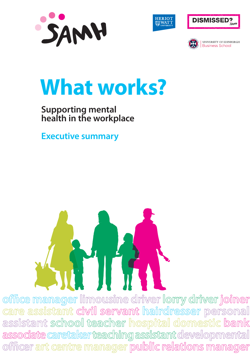







**UNIVERSITY OF EDINBURGH** Business School

# **What works?**

# **Supporting mental health in the workplace**

**Executive summary**



office manager limousine driver lorry driver joiner **care assistant civil servant hairdresser personal assistant school teacher hospital domestic bank**  associate caretaker teaching assistant developmental **offi cer art centre manager public relations manager**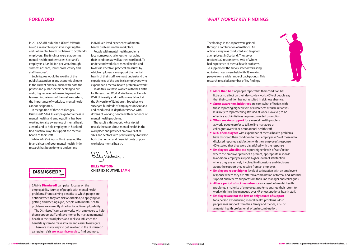In 2011, SAMH published *What's It Worth Now?*, a research report investigating the costs of mental health problems to Scotland's employers. The findings were staggering: mental health problems cost Scotland's employers £2.15 billion per year, through sickness absence, lower productivity and staff turnover<sup>1</sup>.

### **FOREWORD**

Such figures would be worthy of the public's attention in any economic climate. In the current financial crisis, with both the private and public sectors seeking to cut costs, higher levels of unemployment and far-reaching reforms of the welfare system, the importance of workplace mental health cannot be ignored.

In recognition of these challenges, Dismissed?, SAMH's campaign for fairness in mental health and employability, has been working to raise awareness of mental health at work and to help employers in Scotland find practical ways to support the mental health of their staff.

People with mental health problems face numerous challenges to managing their condition as well as their workload. To understand workplace mental health and to devise effective, practical measures by which employers can support the mental health of their staff, we must understand the experiences of the one in six employees who experience a mental health problem at work<sup>2</sup>.

While *What's It Worth Now?* revealed the financial costs of poor mental health, little research has been done to understand

individual's lived experiences of mental health problems in the workplace.

SAMH's **Dismissed?** campaign focuses on the employability journey of people with mental health problems. From claiming benefits to which people are entitled when they are sick or disabled, to applying for, getting and keeping a job, people with mental health problems are currently disadvantaged in employability.

To do this, we have worked with the Centre for Research on Work & Wellbeing at Heriot-Watt University and the Business School at the University of Edinburgh. Together, we surveyed hundreds of employees in Scotland and conducted in-depth interviews with dozens of working people with experience of mental health problems.

The result is this report. *What Works?* reveals the facts about mental health in the workplace and provides employers of all sizes and sectors with practical ways to tackle both the human and financial costs of poor workplace mental health.

**billy watSon CHIEF ExECUTIvE, Samh**

# **DISMISSED?**

- **More than half** of people report that their condition little or no effect on their day-to-day work. 40 that their condition has not resulted in sickne
- **Stress awareness initiatives** are somewhat those reporting higher levels of awareness of less likely to report feeling stressed at work. H effective such initiatives require concerted pr
- **When seeking support** for a mental health at work, people prefer to talk to line manager colleagues over HR or occupational health sta
- **63% of employees** with experience of ment have disclosed their condition to their employ disclosed reported satisfaction with their em 40% stated that they were dissatisfied with the
- **Employees who disclose** report higher level where the employer provides a prompt, appr In addition, employees report higher levels of where they are actively involved in discussion about the support they receive from an employer.
- **Employees report higher** levels of satisfaction response where they are offered a combination support and receive support from their line manager and receive support from their line
- **After a period of sickness absence** as a result problems, a majority of employees prefer to a work with their line manager, over HR or occupation
- **Employers are not the first or only source** for a person experiencing mental health probpeople seek support from their family and fria mental health professional, often in combination.



| ondition has              |
|---------------------------|
| 0% of people say          |
| ess absence.              |
| effective, with           |
| f such initiatives        |
| However, to be            |
| omotion.                  |
| problem                   |
| rs or                     |
| aff.                      |
| al health problems        |
| yer. 40% of those who     |
| ployer's response.        |
| he response.              |
| Is of satisfaction        |
| ropriate response.        |
| f satisfaction            |
| ns and decisions          |
| loyer.                    |
| ion with an employer's    |
| on of formal and informal |
| nanager and colleagues.   |
| ult of mental health      |
| arrange their return to   |
| upational health staff.   |
| of support                |
| olems. Most               |
| ends, a GP or             |

The Dismissed? campaign works with employers to help them support staff and save money by managing mental health in their workplace, and seeks to influence the benefits system to make it fairer and easier to navigate. There are many ways to get involved in the Dismissed?

campaign. Visit **www.samh.org.uk** to find out more.

The findings in this report were gained through a combination of methods. An online survey was conducted and targeted at employees in Scotland. The survey received 312 respondents, 69% of whom had experience of mental health problems. To supplement the survey, interviews lasting up to two hours were held with 38 working people from a wide range of backgrounds. This research revealed a number of key findings.

## *WHAT WORKS?* **kEY FINDINGS**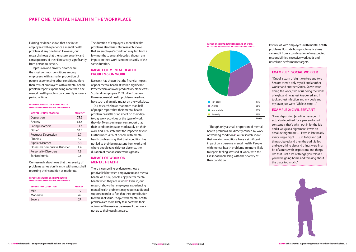Existing evidence shows that one in six employees will experience a mental health problem at any one time<sup>2</sup>. However, our research shows that the nature, severity and consequences of their illness vary significantly from person to person.

Depression and anxiety disorder are the most common conditions among employees, with a smaller proportion of people experiencing other conditions. More than 75% of employees with a mental health problem report experiencing more than one mental health problem concurrently or over a period of time.

#### **prevalence of Specific mental health conditionS among Survey participantS**

#### **IMPACT OF MENTAL HEALTH PROBLEMS ON WORk**

| <b>MENTAL HEALTH PROBLEM</b>         | <b>PER CENT</b> |
|--------------------------------------|-----------------|
| Depression                           | 75.2            |
| Anxiety                              | 63.6            |
| <b>Eating Disorders</b>              | 11.7            |
| Other <sup>3</sup>                   | 10.5            |
| <b>Postnatal Depression</b>          | 9.7             |
| Phobias                              | 8.7             |
| <b>Bipolar Disorder</b>              | 8.3             |
| <b>Obsessive Compulsive Disorder</b> | 4.4             |
| <b>Personality Disorders</b>         | 1.9             |
| Schizophrenia                        | 0.5             |

Our research also shows that the severity of problems varies significantly, with almost half reporting their condition as moderate.

**reported Severity of mental health conditionS among Survey participantS** Research has shown that the financial impact of poor mental health at work is significant. Presenteeism or lower productivity alone costs Scotland's employers £1.24 billion<sup>1</sup> per year. However, mental health problems need not have such a dramatic impact on the workplace. Our research shows that more than half of people report that their mental health problem has little or no affect on their dayto-day work activities or the type of work they do. Twenty-nine per cent report that their condition impacts moderately on their work and 19% state that the impact is severe. Furthermore, 40% of people with mental health problems say that their condition has not led to their being absent from work and where people take sickness absence, the duration of that absence varies greatly.

| <b>SEVERITY OF CONDITION</b> | <b>PER CENT</b> |
|------------------------------|-----------------|
| Mild                         | 19              |
| Moderate                     | 49              |
| Severe                       | 27              |

## **PART ONE: MENTAL HEALTH IN THE WORkPLACE**

The duration of employees' mental health problems also varies. Our research shows that an employee's condition may last from a few months to several decades, though any impact on their work is not necessarily of the same duration.

#### **IMPACT OF WORk ON MENTAL HEALTH**

There is compelling evidence to show a positive link between employment and mental health. As a rule, people enjoy better mental health when they are in work<sup>2</sup>. Even so, our research shows that employees experiencing mental health problems may require additional support in order to feel that their contribution to work is of value. People with mental health problems are more likely to report that their opinion of themselves decreases if their work is not up to their usual standard.

Though only a small proportion of mental health problems are directly caused by work or working conditions<sup>2</sup>, our research shows that working conditions have a significant impact on a person's mental health. People with mental health problems are more likely to report feeling stressed at work, with this likelihood increasing with the severity of their condition.

#### **ExAMPLE 1: SOCIAL WORkER**

"Out of a team of eight workers and two Seniors there's only myself and another worker and another Senior. So we were doing the work, two of us doing the work of eight and I was just knackered and I took a chest infection and my body and my brain just went "Oh let's stop…"

#### **ExAMPLE 2: CIvIL SERvANT**

**impact of mental health problemS on work ACTIVITIES AS REPORTED BY SURVEY PARTICIPANTS** 



"I was deputising [as a line manager]. I actually deputised for a year and a half constantly, that's why I put in for the job and it was just a nightmare, it was an absolute nightmare … I was in late nearly every single night … just to try and get things cleared and then the audit failed and everything else and things were in a bit of a mess with inspections and things like that. Just a lot of things, you felt as if you were going home and thinking about the place too much."



Interviews with employees with mental health problems illustrate how problematic stress can result from a combination of unexpected responsibilities, excessive workloads and unrealistic performance targets.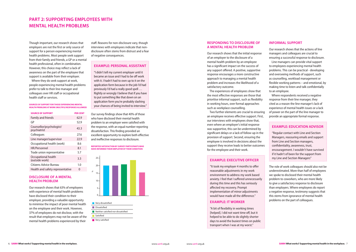Though important, our research shows that employers are not the first or only source of support for a person experiencing mental health problems. Most people seek support from their family and friends, a GP or a mental health professional, often in combination. However, this choice may reflect a lack of awareness on the part of the employee that support is available from their employer.

Where they do seek support at work, people experiencing mental health problems prefer to talk to their line manager and colleagues over HR staff or occupational health staff or services.

#### **Sources of support for those experiencing mental health problems at work (multiple responses allowed)**

| <b>SOURCE OF SUPPORT</b>                 | <b>PER CENT</b> |
|------------------------------------------|-----------------|
| <b>Family and friends</b>                | 62.9            |
| GP                                       | 52.9            |
| Counsellor/psychologist/<br>psychiatrist | 43.3            |
| Colleagues                               | 27.6            |
| Line manager/supervisor                  | 22.9            |
| Occupational health (work)               | 8.6             |
| HR/Personnel                             | 8.1             |
| Trade union representative               | 5.7             |
| Occupational health<br>(outside work)    | 3.3             |
| Citizens Advice Bureau                   | 1.0             |
| Health and safety representative         | O               |

#### **DISCLOSURE OF A MENTAL HEALTH PROBLEM**

Our research shows that 63% of employees with experience of mental health problems have disclosed their condition to their employer, providing a valuable opportunity to minimise the impact of poor mental health on the employee and their work. However, 37% of employees do not disclose, with the result that employers may not be aware of the mental health problems experienced by their

# **PART 2: SUPPORTING EMPLOYEES WITH MENTAL HEALTH PROBLEMS**

Our survey findings show that 40% of those who have disclosed their mental health problem to an employer were satisfied with the response, with an equal number reporting dissatisfaction. This finding provided an excellent opportunity to explore both effective and ineffective responses to disclosure.

#### **Example: Personal Assistant**

"I didn't tell my current employer until it became an issue and I had to be off work with it. I hadn't had to own up to it on the application form because in the job I'd had previously I'd had a really good spell … Rightly or wrongly I believe that if you have to put something like that down on an application form you're probably slashing your chances of being invited to interview."

#### **RESPONDING TO DISCLOSURE OF A MENTAL HEALTH PROBLEM**

Our research shows that the initial response of an employer to the disclosure of a mental health problem by an employee has a significant impact on the success of any support offered. A positive, supportive response encourages a more constructive approach to managing a mental health problem and increases the likelihood of a satisfactory outcome.

The experiences of employees show that the most effective responses are those that prioritise informal support, such as flexibility in working hours, over formal approaches such as workplace counselling.

Two further elements are crucial to ensuring an employee receives effective support. First, our interviews with employees show that, even where an employer's initial response was supportive, this can be undermined by significant delays or a lack of follow-up in the provision of support. Second, ensuring the employee is involved in decisions about the support they receive leads to better outcomes for the employee and their work.

#### **Example: Executive Officer**

"It took my employer 4 months to offer reasonable adjustments in my work environment to address my work based anxiety. I feel that I suffered unnecessarily during this time and this has seriously affected my recovery. Prompt implementation of minor adjustments would have made all the difference."

#### **Example: IT Worker**

"A bit of flexibility in working times [helped]. I did not want time off, but it helped to be able to do slightly shorter days to avoid the busiest times on public transport when I was at my worst."

#### **Example: Education Advisor**

"Regular contact with Line and Section Managers, reassuring emails and support from Line and Section managers, confidentiality, awareness, trust, encouragement. I wouldn't have survived if it hadn't of been for the support from my Line and Section Managers"

staff. Reasons for non-disclosure vary, though interviews with employees indicate that nondisclosure often stems from distrust and a fear of negative consequences.

#### **INFORMAL SUPPORT**

Our research shows that the actions of line managers and colleagues are crucial to ensuring a successful response to disclosure.

Line managers can provide vital support to employees experiencing mental health problems. This can be practical - developing and overseeing methods of support, such as counselling, workload management or flexible working patterns – and emotional, by making time to listen and talk confidentially to an employee.

Where respondents received a negative response from their line manager, they cited as a reason the line manager's lack of experience of mental health issues or a lack of power on the part of the line manager to provide an appropriate formal response.

The role of work colleagues should also not be underestimated. More than half of employees we spoke to disclosed their mental health problem to coworkers, who are more likely to give a satisfactory response to disclosure than employers. Where employees do report a negative response, testimony suggests that this stems from ignorance of mental health problems on the part of colleagues.

#### **Reported satisfaction by survey participants who have informed their employer of their condition**



#### **Very dissatisfied Dissatisfied**

|      | Neither satisfied nor dissatisfied |
|------|------------------------------------|
| ____ |                                    |

Satisfied **Very satisfied**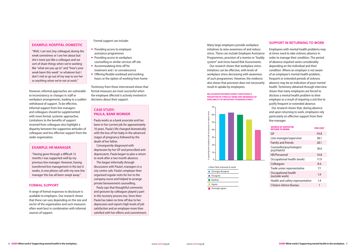#### **Example: HR Manager**

"Having gone through a difficult 12 months I was supported well by my previous line manager. However, having transferred line management in the last 6 weeks, in one phone call with my new line manager this has all been swept away."

## **Case Study: Paula, Bank worker**

Paula works as a bank associate and has been in her current job for approximately 10 years. Paula's life changed dramatically with the loss of her baby in the advanced stages of pregnancy followed by the death of her father.

Consequently diagnosed with depression by her GP and prescribed antidepressants, Paula began to plan a return to work after a two month absence.

This began informally through discussions with Paula's managers in a city centre cafe. Paula's employer then organised regular visits for her to the company nurse and helped to arrange private bereavement counselling.

Employees with mental health problems may at times need to take sickness absence in order to manage their condition. The period of absence required varies considerably depending on the individual and their condition. Where an employer is not aware of an employee's mental health problem, frequent or extended periods of sickness absence may be an indication of poor mental health. Testimony obtained through interview shows that many employees are forced to disclose a mental health problem to their employer as a result of requiring a sick line to justify frequent or extended absence.

Paula says that thoughtful comments and gestures by colleagues played a part in the recovery process too. Since then Paula has taken no time off due to her depression and reports high levels of job satisfaction and an employer more than satisfied with her efforts and commitment.

However, informal approaches are vulnerable to inconsistency or changes in staff or workplace arrangements, leading to a sudden withdrawal of support. To be effective, informal support from line managers and colleagues should be supplemented with more formal, systemic approaches. Limitations to the benefits of support received from colleagues also highlight a disparity between the supportive attitudes of colleagues and less effective support from the wider organisation.

#### **Relationship between survey participant's perception of stress at work and awareness of availability of initiatives to manage stress**

- Providing access to employee assistance programmes
- Providing access to workplace counselling or similar services off-site
- Accommodating time off for treatment and / or convalescence
- Offering flexible workload and working hours or the option of working from home





#### **SUPPORT IN RETURNING TO WORK**

Our research shows that, during absence and upon returning to work, employees rely particularly on effective support from their line manager.

| <b>SOURCE OF ADVICE RE</b><br><b>RETURN TO WORK</b> | PER CENT |
|-----------------------------------------------------|----------|
| GP                                                  | 54.8     |
| Line manager/supervisor                             | 38.1     |
| <b>Family and friends</b>                           | 28.1     |
| Counsellor/psychologist/<br>psychiatrist            | 18.6     |
| HR/Personnel                                        | 14.8     |
| Occupational health (work)                          | 11.9     |
| Colleagues                                          | 8.6      |
| Trade union representative                          | 7.1      |
| Occupational health<br>(outside work)               | 1.9      |
| Health and safety representative                    | 1.4      |
| Citizens Advice Bureau                              | 1        |

#### **Example: Hospital Domestic**

"Well, I can text [my colleague] during the week sometimes or I see her about but she's more just like a colleague and we sort of share things when we're working like "what are you up to" and "how's your week been this week" or whatever but I don't visit or go out of my way to see her or anything when we're not at work."

Formal support can include:

Testimony from those interviewed shows that formal measures are most successful when the employee affected is actively involved in decisions about their support.

#### **FORMAL SUPPORT**

A range of formal responses to disclosure is available to employers. Our research shows that these can vary depending on the size and sector of the organisation and such measures often work best in combination with informal sources of support.

Many large employers provide workplace initiatives to raise awareness of and reduce stress. These can include Employee Assistance Programmes, provision of a mentor or "buddy system" and stress-based Risk Assessments.

Our research shows that workplace stress initiatives can be effective, with levels of workplace stress decreasing with awareness of such programmes. However, the evidence also shows that provision does not necessarily result in uptake by employees.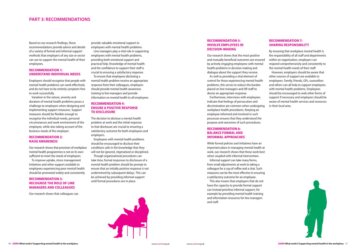Based on our research findings, these recommendations provide advice and details of a variety of formal and informal support methods that employers of any size or sector can use to support the mental health of their employees.

#### **recommendation 1: underStand individual needS**

Our research shows that provision of workplace mental health programmes is not on its own sufficient to meet the needs of employees.

Employers should recognise that people with mental health problems can work effectively and do not have to be entirely symptom-free to work successfully.

Variation in the nature, severity and duration of mental health problems poses a challenge to employers when designing and implementing support measures. Support measures should be flexible enough to recognise the individual needs, personal circumstances and work environment of the employee, while also taking account of the business needs of the employer.

#### **recommendation 2: raiSe awareneSS**

#### **recommendation 4: enSure a poSitive reSponSe TO DISCLOSURE**

To improve uptake, stress management initiatives and other support available to employees experiencing poor mental health should be promoted widely and consistently.

#### **recommendation 3: recogniSe the role of line managerS and colleagueS**

Our research shows that colleagues can

## **PART 3: RECOMMENDATIONS**

provide valuable emotional support to employees with mental health problems.

Line managers play a vital role in supporting employees with mental health problems, providing both emotional support and practical help. Knowledge of mental health and the confidence to support their staff is crucial to ensuring a satisfactory response. To ensure that employees disclosing a mental health problem receive an appropriate response from their colleagues, employers should provide mental health awareness training to line managers and provide information on mental health to all employees.

> This also means that employers that do not have the capacity to provide formal support can instead prioritise informal support, for example by providing mental health training and information resources for line managers and staff.

By ensuring that workplace mental health is the responsibility of all staff and departments within an organisation, employers can respond comprehensively and consistently to the mental health needs of their staff.

The decision to disclose a mental health problem at work and the initial response to that disclosure are crucial to ensuring a satisfactory outcome for both employees and employers.

Employees with mental health problems should be encouraged to disclose their conditions safe in the knowledge that they will not be ignored, stigmatised or disciplined.

Though organisational procedures can take time, formal responses to disclosure of a mental health problem should be prompt to ensure that an initially positive response is not undermined by subsequent delays. This can be achieved by providing informal support until formal procedures are in place.



#### **recommendation 5: involve employeeS in deciSion-making**

Our research shows that the most positive and mutually beneficial outcomes are ensured by actively engaging employees with mental health problems in decision making and dialogue about the support they receive.

As well as providing a vital element of control for those experiencing mental health problems, this serves to reduce the burden placed on line managers and HR staff to devise an appropriate response.

Furthermore, interviews with employees indicate that feelings of persecution and discrimination are common when undergoing workplace health procedures. Keeping an employee informed and involved in such processes ensures that they understand the purpose and outcomes of such procedures.

#### **recommendation 6: balance formal and informal approacheS**

While formal policies and initiatives have an important place in managing mental health at work, our research shows that these work best when coupled with informal intervention.

Informal support can take many forms, from small adjustments at work to taking a colleague for a cup of coffee and a chat. Such measures can be the most effective in ensuring a satisfactory outcome for an employee.

#### **recommendation 7: Sharing reSponSibility**

However, employers should be aware that other sources of support are available to employees. Family, friends, GPs, counsellors and others can all help to support employees with mental health problems. Employees should be encouraged to seek other forms of support if necessary and employers should be aware of mental health services and resources in their local area.